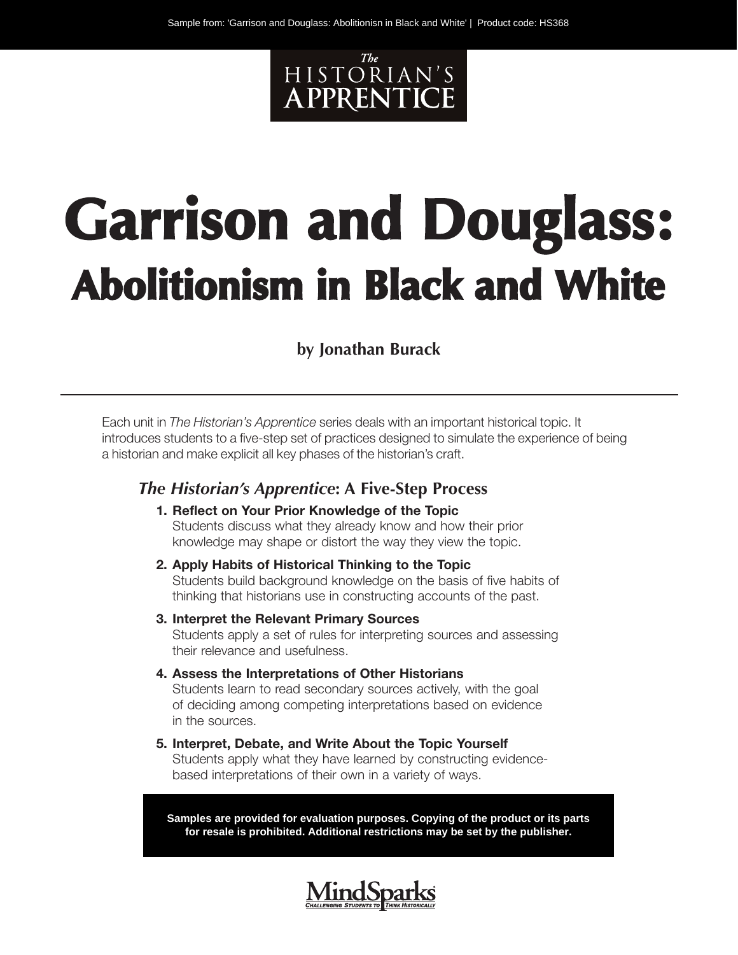

# **Garrison and Douglass: Abolitionism in Black and White**

#### **by Jonathan Burack**

Each unit in *The Historian's Apprentice* series deals with an important historical topic. It introduces students to a five-step set of practices designed to simulate the experience of being a historian and make explicit all key phases of the historian's craft.

#### *The Historian's Apprentice***: A Five-Step Process**

- **1. Reflect on Your Prior Knowledge of the Topic** Students discuss what they already know and how their prior knowledge may shape or distort the way they view the topic.
- **2. Apply Habits of Historical Thinking to the Topic** Students build background knowledge on the basis of five habits of thinking that historians use in constructing accounts of the past.
- **3. Interpret the Relevant Primary Sources** Students apply a set of rules for interpreting sources and assessing their relevance and usefulness.
- **4. Assess the Interpretations of Other Historians** Students learn to read secondary sources actively, with the goal of deciding among competing interpretations based on evidence in the sources.
- **5. Interpret, Debate, and Write About the Topic Yourself** Students apply what they have learned by constructing evidencebased interpretations of their own in a variety of ways.

**Samples are provided for evaluation purposes. Copying of the product or its parts for resale is prohibited. Additional restrictions may be set by the publisher.**

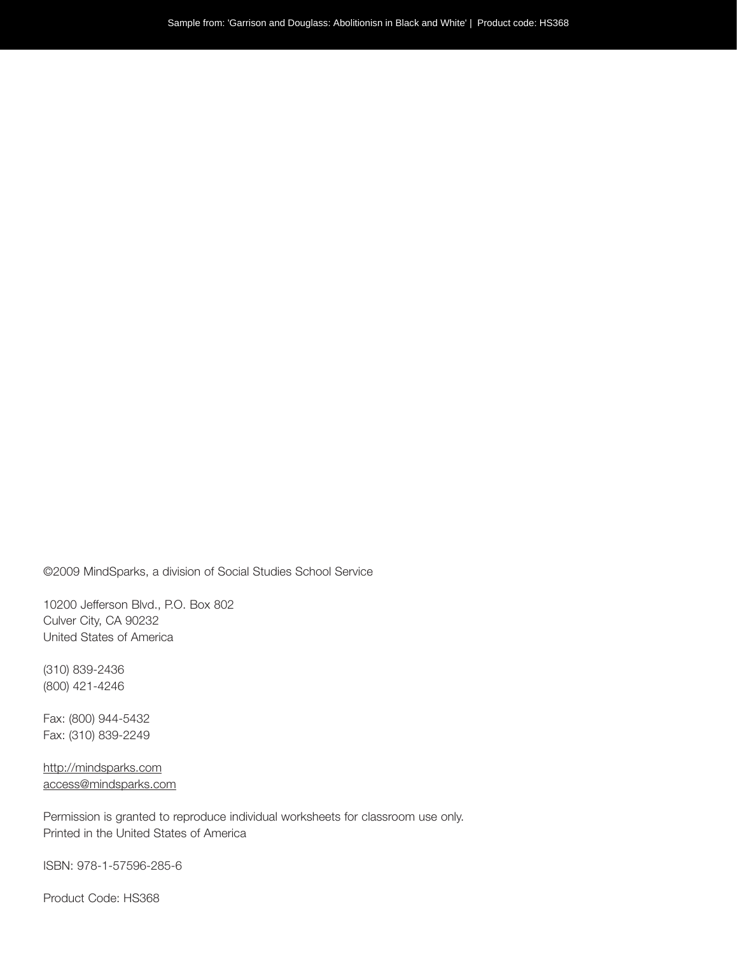©2009 MindSparks, a division of Social Studies School Service

10200 Jefferson Blvd., P.O. Box 802 Culver City, CA 90232 United States of America

(310) 839-2436 (800) 421-4246

Fax: (800) 944-5432 Fax: (310) 839-2249

http://mindsparks.com access@mindsparks.com

Permission is granted to reproduce individual worksheets for classroom use only. Printed in the United States of America

ISBN: 978-1-57596-285-6

Product Code: HS368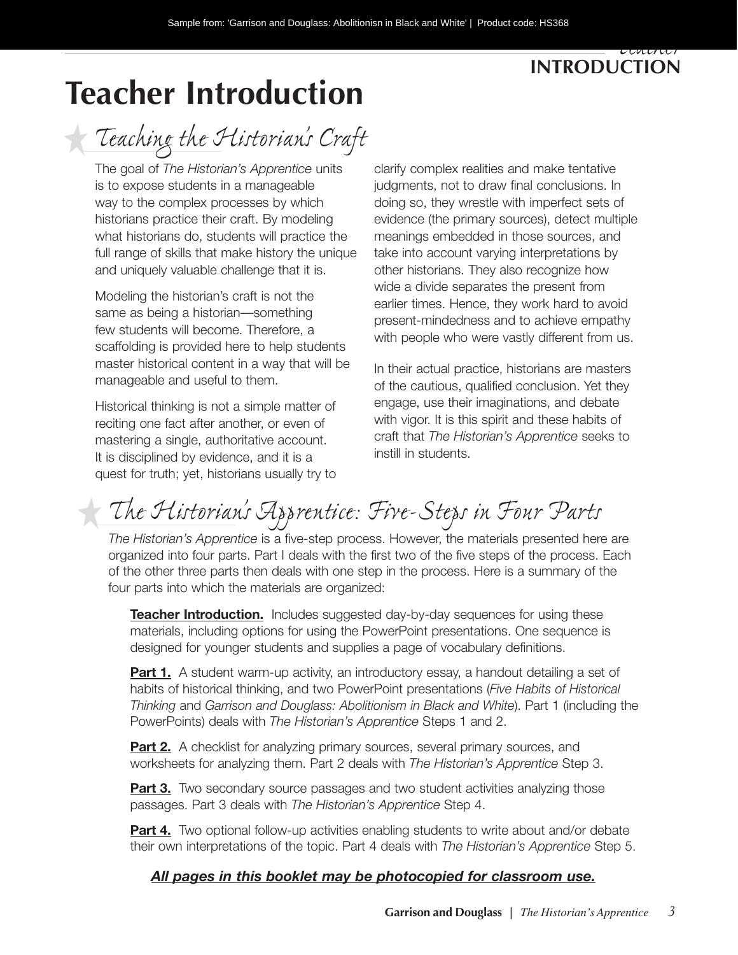#### *Teacher*  **Introduction**

# **Teacher Introduction**

*Teaching the Historian's Craft*

The goal of *The Historian's Apprentice* units is to expose students in a manageable way to the complex processes by which historians practice their craft. By modeling what historians do, students will practice the full range of skills that make history the unique and uniquely valuable challenge that it is.

Modeling the historian's craft is not the same as being a historian—something few students will become. Therefore, a scaffolding is provided here to help students master historical content in a way that will be manageable and useful to them.

Historical thinking is not a simple matter of reciting one fact after another, or even of mastering a single, authoritative account. It is disciplined by evidence, and it is a quest for truth; yet, historians usually try to

clarify complex realities and make tentative judgments, not to draw final conclusions. In doing so, they wrestle with imperfect sets of evidence (the primary sources), detect multiple meanings embedded in those sources, and take into account varying interpretations by other historians. They also recognize how wide a divide separates the present from earlier times. Hence, they work hard to avoid present-mindedness and to achieve empathy with people who were vastly different from us.

In their actual practice, historians are masters of the cautious, qualified conclusion. Yet they engage, use their imaginations, and debate with vigor. It is this spirit and these habits of craft that *The Historian's Apprentice* seeks to instill in students.

### *The Historian's Apprentice: Five-Steps in Four Parts*

*The Historian's Apprentice* is a five-step process. However, the materials presented here are organized into four parts. Part I deals with the first two of the five steps of the process. Each of the other three parts then deals with one step in the process. Here is a summary of the four parts into which the materials are organized:

**Teacher Introduction.** Includes suggested day-by-day sequences for using these materials, including options for using the PowerPoint presentations. One sequence is designed for younger students and supplies a page of vocabulary definitions.

**Part 1.** A student warm-up activity, an introductory essay, a handout detailing a set of habits of historical thinking, and two PowerPoint presentations (*Five Habits of Historical Thinking* and *Garrison and Douglass: Abolitionism in Black and White*). Part 1 (including the PowerPoints) deals with *The Historian's Apprentice* Steps 1 and 2.

**Part 2.** A checklist for analyzing primary sources, several primary sources, and worksheets for analyzing them. Part 2 deals with *The Historian's Apprentice* Step 3.

**Part 3.** Two secondary source passages and two student activities analyzing those passages. Part 3 deals with *The Historian's Apprentice* Step 4.

**Part 4.** Two optional follow-up activities enabling students to write about and/or debate their own interpretations of the topic. Part 4 deals with *The Historian's Apprentice* Step 5.

#### *All pages in this booklet may be photocopied for classroom use.*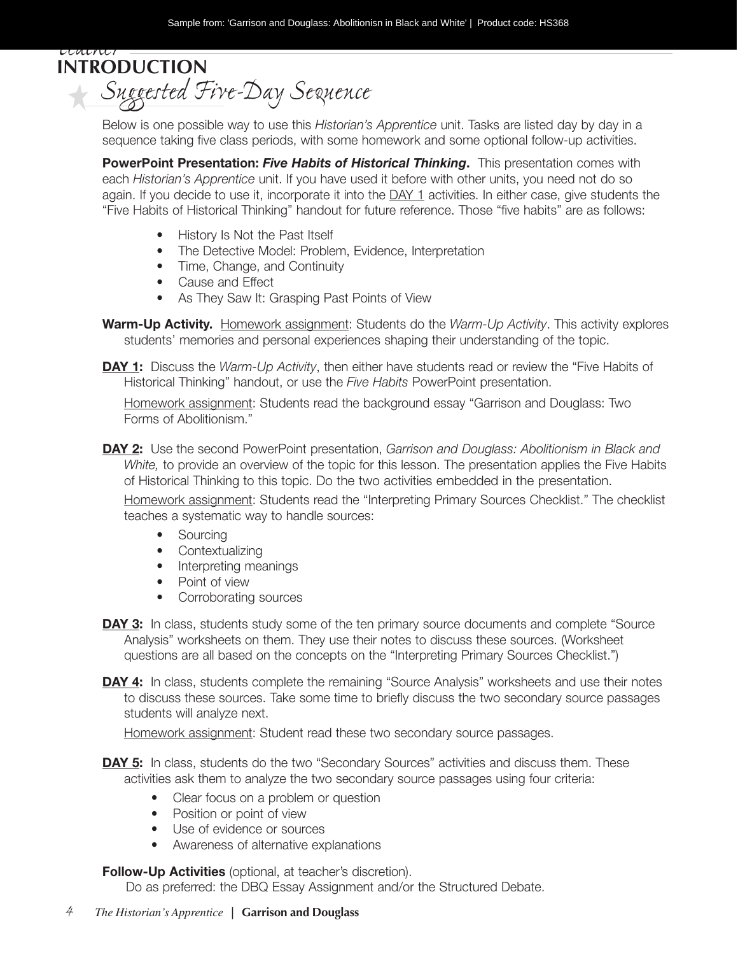*Teacher*  **Introduction** *Suggested Five-Day Sequence*

Below is one possible way to use this *Historian's Apprentice* unit. Tasks are listed day by day in a sequence taking five class periods, with some homework and some optional follow-up activities.

**PowerPoint Presentation:** *Five Habits of Historical Thinking***.** This presentation comes with each *Historian's Apprentice* unit. If you have used it before with other units, you need not do so again. If you decide to use it, incorporate it into the  $\Delta Y$  1 activities. In either case, give students the "Five Habits of Historical Thinking" handout for future reference. Those "five habits" are as follows:

- History Is Not the Past Itself
- The Detective Model: Problem, Evidence, Interpretation
- Time, Change, and Continuity
- Cause and Effect
- As They Saw It: Grasping Past Points of View
- **Warm-Up Activity.** Homework assignment: Students do the *Warm-Up Activity*. This activity explores students' memories and personal experiences shaping their understanding of the topic.
- **DAY 1:** Discuss the *Warm-Up Activity*, then either have students read or review the "Five Habits of Historical Thinking" handout, or use the *Five Habits* PowerPoint presentation.

Homework assignment: Students read the background essay "Garrison and Douglass: Two Forms of Abolitionism."

**Day 2:** Use the second PowerPoint presentation, *Garrison and Douglass: Abolitionism in Black and White,* to provide an overview of the topic for this lesson. The presentation applies the Five Habits of Historical Thinking to this topic. Do the two activities embedded in the presentation.

Homework assignment: Students read the "Interpreting Primary Sources Checklist." The checklist teaches a systematic way to handle sources:

- Sourcing
- Contextualizing
- Interpreting meanings
- Point of view
- Corroborating sources
- **DAY 3:** In class, students study some of the ten primary source documents and complete "Source" Analysis" worksheets on them. They use their notes to discuss these sources. (Worksheet questions are all based on the concepts on the "Interpreting Primary Sources Checklist.")
- **DAY 4:** In class, students complete the remaining "Source Analysis" worksheets and use their notes to discuss these sources. Take some time to briefly discuss the two secondary source passages students will analyze next.

Homework assignment: Student read these two secondary source passages.

- **DAY 5:** In class, students do the two "Secondary Sources" activities and discuss them. These activities ask them to analyze the two secondary source passages using four criteria:
	- Clear focus on a problem or question
	- Position or point of view
	- Use of evidence or sources
	- Awareness of alternative explanations

#### **Follow-Up Activities** (optional, at teacher's discretion).

Do as preferred: the DBQ Essay Assignment and/or the Structured Debate.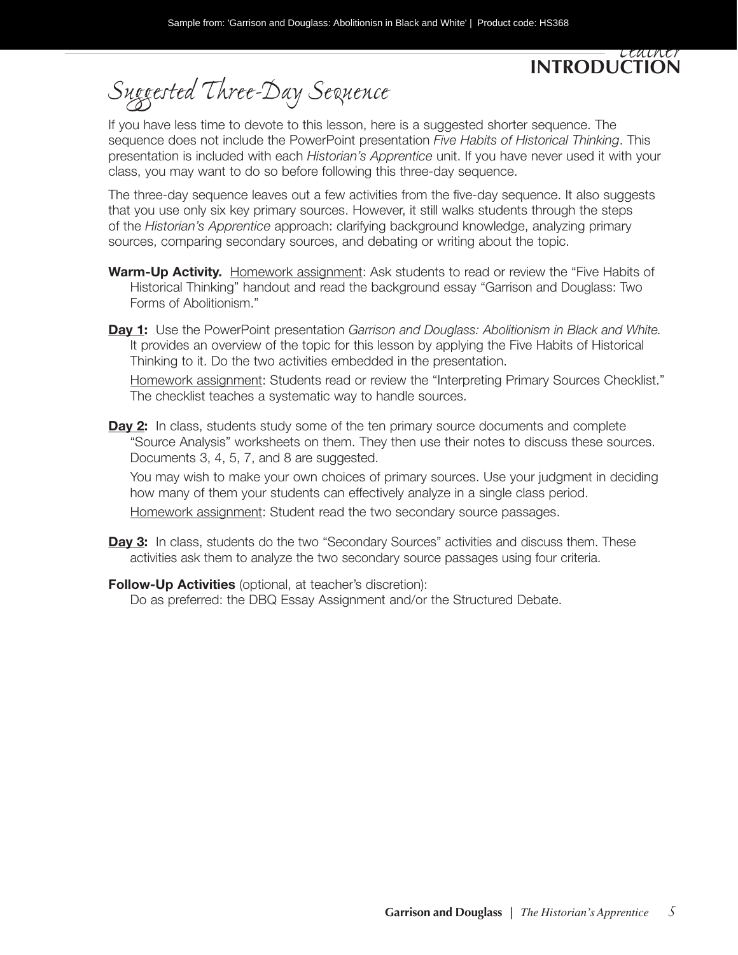#### *Teacher*  **Introduction**

*Suggested Three-Day Sequence*

If you have less time to devote to this lesson, here is a suggested shorter sequence. The sequence does not include the PowerPoint presentation *Five Habits of Historical Thinking*. This presentation is included with each *Historian's Apprentice* unit. If you have never used it with your class, you may want to do so before following this three-day sequence.

The three-day sequence leaves out a few activities from the five-day sequence. It also suggests that you use only six key primary sources. However, it still walks students through the steps of the *Historian's Apprentice* approach: clarifying background knowledge, analyzing primary sources, comparing secondary sources, and debating or writing about the topic.

- Warm-Up Activity. Homework assignment: Ask students to read or review the "Five Habits of Historical Thinking" handout and read the background essay "Garrison and Douglass: Two Forms of Abolitionism."
- **Day 1:** Use the PowerPoint presentation *Garrison and Douglass: Abolitionism in Black and White.* It provides an overview of the topic for this lesson by applying the Five Habits of Historical Thinking to it. Do the two activities embedded in the presentation.

Homework assignment: Students read or review the "Interpreting Primary Sources Checklist." The checklist teaches a systematic way to handle sources.

**Day 2:** In class, students study some of the ten primary source documents and complete "Source Analysis" worksheets on them. They then use their notes to discuss these sources. Documents 3, 4, 5, 7, and 8 are suggested.

You may wish to make your own choices of primary sources. Use your judgment in deciding how many of them your students can effectively analyze in a single class period.

Homework assignment: Student read the two secondary source passages.

- **Day 3:** In class, students do the two "Secondary Sources" activities and discuss them. These activities ask them to analyze the two secondary source passages using four criteria.
- **Follow-Up Activities** (optional, at teacher's discretion):

Do as preferred: the DBQ Essay Assignment and/or the Structured Debate.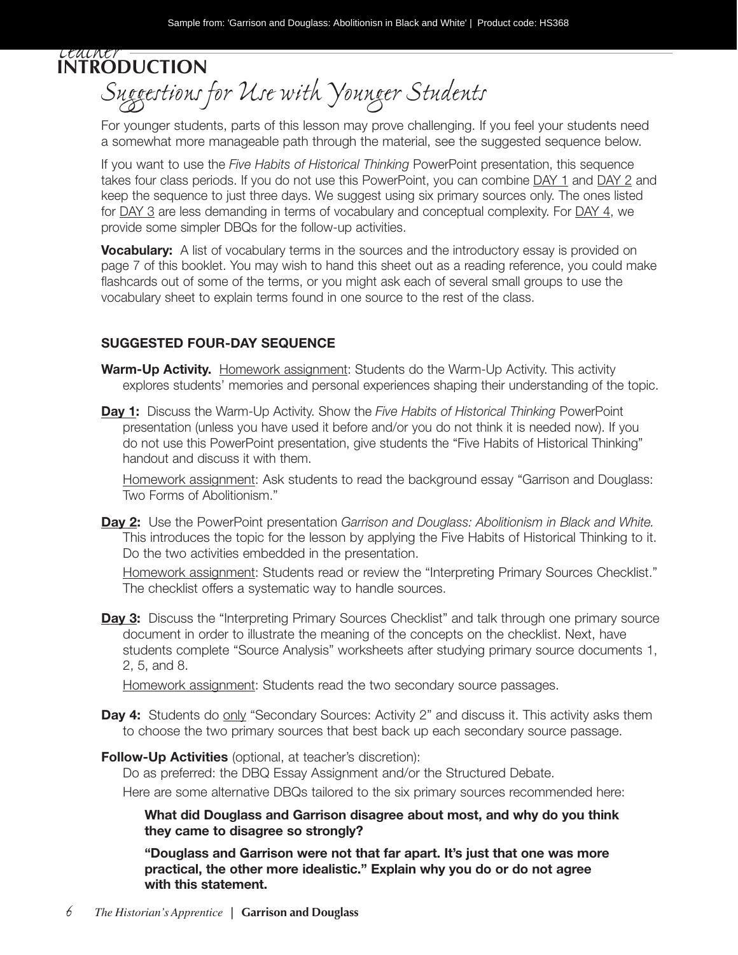*Teacher*  **Introduction** *Suggestions for Use with Younger Students*

For younger students, parts of this lesson may prove challenging. If you feel your students need a somewhat more manageable path through the material, see the suggested sequence below.

If you want to use the *Five Habits of Historical Thinking* PowerPoint presentation, this sequence takes four class periods. If you do not use this PowerPoint, you can combine DAY 1 and DAY 2 and keep the sequence to just three days. We suggest using six primary sources only. The ones listed for DAY 3 are less demanding in terms of vocabulary and conceptual complexity. For DAY 4, we provide some simpler DBQs for the follow-up activities.

**Vocabulary:** A list of vocabulary terms in the sources and the introductory essay is provided on page 7 of this booklet. You may wish to hand this sheet out as a reading reference, you could make flashcards out of some of the terms, or you might ask each of several small groups to use the vocabulary sheet to explain terms found in one source to the rest of the class.

#### **SUGGESTED FOUR-DAY SEQUENCE**

- **Warm-Up Activity.** Homework assignment: Students do the Warm-Up Activity. This activity explores students' memories and personal experiences shaping their understanding of the topic.
- **Day 1:** Discuss the Warm-Up Activity. Show the *Five Habits of Historical Thinking* PowerPoint presentation (unless you have used it before and/or you do not think it is needed now). If you do not use this PowerPoint presentation, give students the "Five Habits of Historical Thinking" handout and discuss it with them.

Homework assignment: Ask students to read the background essay "Garrison and Douglass: Two Forms of Abolitionism."

**Day 2:** Use the PowerPoint presentation *Garrison and Douglass: Abolitionism in Black and White.* This introduces the topic for the lesson by applying the Five Habits of Historical Thinking to it. Do the two activities embedded in the presentation.

Homework assignment: Students read or review the "Interpreting Primary Sources Checklist." The checklist offers a systematic way to handle sources.

**Day 3:** Discuss the "Interpreting Primary Sources Checklist" and talk through one primary source document in order to illustrate the meaning of the concepts on the checklist. Next, have students complete "Source Analysis" worksheets after studying primary source documents 1, 2, 5, and 8.

Homework assignment: Students read the two secondary source passages.

**Day 4:** Students do only "Secondary Sources: Activity 2" and discuss it. This activity asks them to choose the two primary sources that best back up each secondary source passage.

**Follow-Up Activities** (optional, at teacher's discretion):

Do as preferred: the DBQ Essay Assignment and/or the Structured Debate.

Here are some alternative DBQs tailored to the six primary sources recommended here:

**What did Douglass and Garrison disagree about most, and why do you think they came to disagree so strongly?** 

**"Douglass and Garrison were not that far apart. It's just that one was more practical, the other more idealistic." Explain why you do or do not agree with this statement.**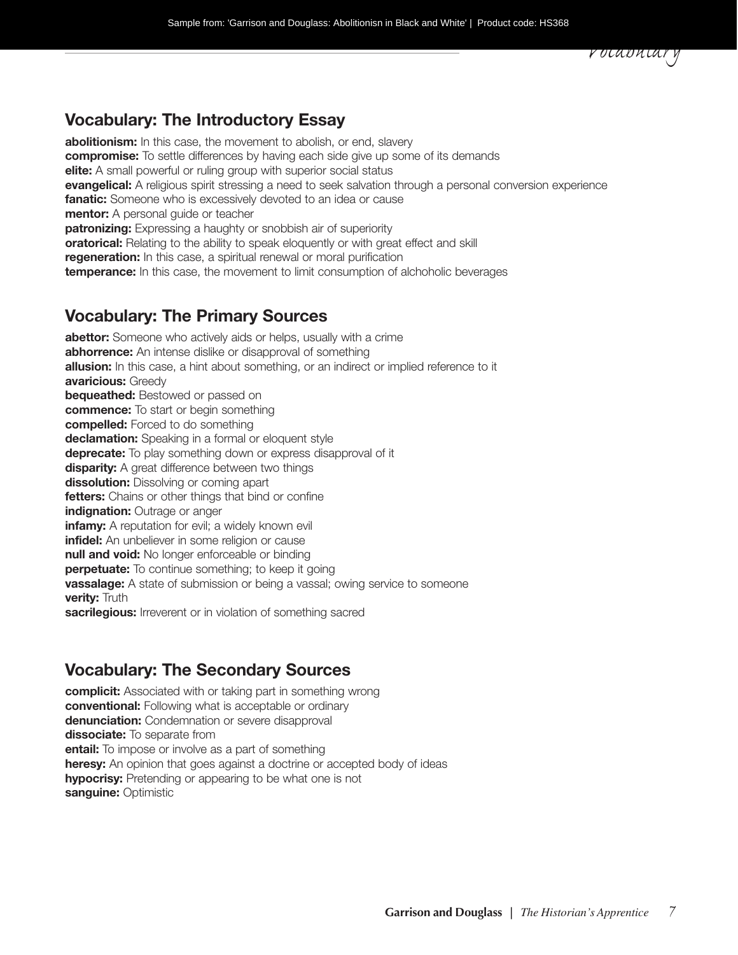#### **Vocabulary: The Introductory Essay**

**abolitionism:** In this case, the movement to abolish, or end, slavery **compromise:** To settle differences by having each side give up some of its demands **elite:** A small powerful or ruling group with superior social status **evangelical:** A religious spirit stressing a need to seek salvation through a personal conversion experience **fanatic:** Someone who is excessively devoted to an idea or cause **mentor:** A personal quide or teacher **patronizing:** Expressing a haughty or snobbish air of superiority **oratorical:** Relating to the ability to speak eloquently or with great effect and skill **regeneration:** In this case, a spiritual renewal or moral purification **temperance:** In this case, the movement to limit consumption of alchoholic beverages

#### **Vocabulary: The Primary Sources**

**abettor:** Someone who actively aids or helps, usually with a crime **abhorrence:** An intense dislike or disapproval of something **allusion:** In this case, a hint about something, or an indirect or implied reference to it **avaricious:** Greedy **bequeathed:** Bestowed or passed on **commence:** To start or begin something **compelled:** Forced to do something **declamation:** Speaking in a formal or eloquent style **deprecate:** To play something down or express disapproval of it **disparity:** A great difference between two things **dissolution:** Dissolving or coming apart **fetters:** Chains or other things that bind or confine **indignation:** Outrage or anger **infamy:** A reputation for evil; a widely known evil **infidel:** An unbeliever in some religion or cause **null and void:** No longer enforceable or binding **perpetuate:** To continue something; to keep it going **vassalage:** A state of submission or being a vassal; owing service to someone **verity:** Truth **sacrilegious:** Irreverent or in violation of something sacred

#### **Vocabulary: The Secondary Sources**

**complicit:** Associated with or taking part in something wrong **conventional:** Following what is acceptable or ordinary **denunciation:** Condemnation or severe disapproval **dissociate:** To separate from **entail:** To impose or involve as a part of something **heresy:** An opinion that goes against a doctrine or accepted body of ideas **hypocrisy:** Pretending or appearing to be what one is not **sanguine:** Optimistic

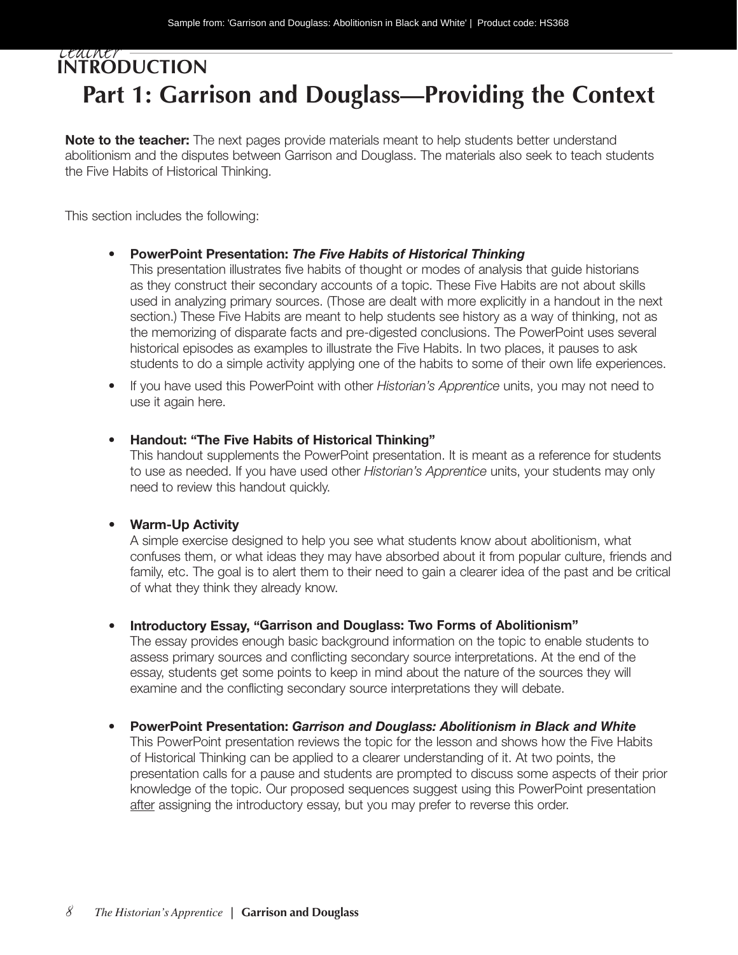#### *Teacher*  **Introduction Part 1: Garrison and Douglass—Providing the Context**

**Note to the teacher:** The next pages provide materials meant to help students better understand abolitionism and the disputes between Garrison and Douglass. The materials also seek to teach students the Five Habits of Historical Thinking.

This section includes the following:

#### **• PowerPoint Presentation:** *The Five Habits of Historical Thinking*

This presentation illustrates five habits of thought or modes of analysis that guide historians as they construct their secondary accounts of a topic. These Five Habits are not about skills used in analyzing primary sources. (Those are dealt with more explicitly in a handout in the next section.) These Five Habits are meant to help students see history as a way of thinking, not as the memorizing of disparate facts and pre-digested conclusions. The PowerPoint uses several historical episodes as examples to illustrate the Five Habits. In two places, it pauses to ask students to do a simple activity applying one of the habits to some of their own life experiences.

• If you have used this PowerPoint with other *Historian's Apprentice* units, you may not need to use it again here.

#### **• Handout: "The Five Habits of Historical Thinking"**

This handout supplements the PowerPoint presentation. It is meant as a reference for students to use as needed. If you have used other *Historian's Apprentice* units, your students may only need to review this handout quickly.

#### **• Warm-Up Activity**

A simple exercise designed to help you see what students know about abolitionism, what confuses them, or what ideas they may have absorbed about it from popular culture, friends and family, etc. The goal is to alert them to their need to gain a clearer idea of the past and be critical of what they think they already know.

#### **• Introductory Essay, "Garrison and Douglass: Two Forms of Abolitionism"**

The essay provides enough basic background information on the topic to enable students to assess primary sources and conflicting secondary source interpretations. At the end of the essay, students get some points to keep in mind about the nature of the sources they will examine and the conflicting secondary source interpretations they will debate.

**• PowerPoint Presentation:** *Garrison and Douglass: Abolitionism in Black and White*

This PowerPoint presentation reviews the topic for the lesson and shows how the Five Habits of Historical Thinking can be applied to a clearer understanding of it. At two points, the presentation calls for a pause and students are prompted to discuss some aspects of their prior knowledge of the topic. Our proposed sequences suggest using this PowerPoint presentation after assigning the introductory essay, but you may prefer to reverse this order.